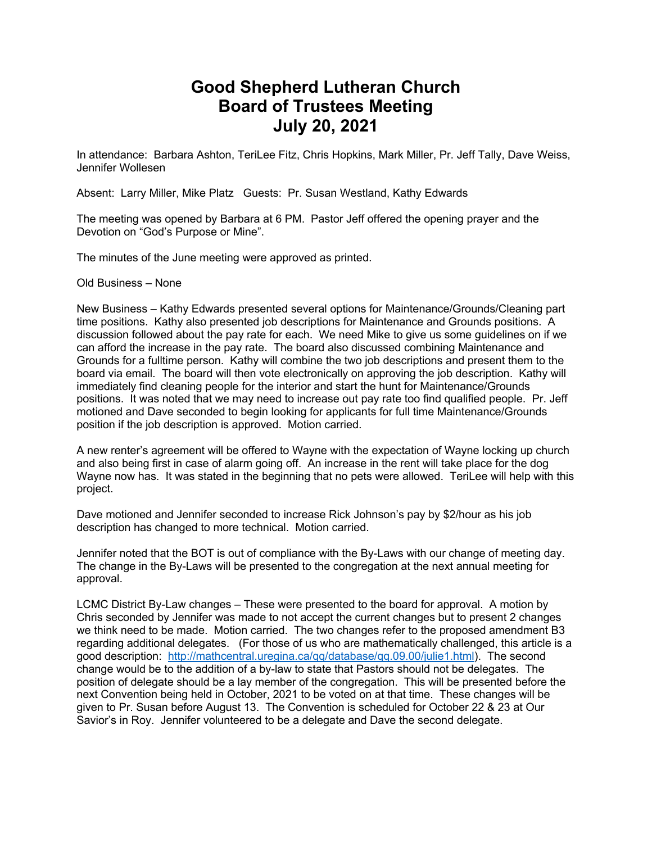## **Good Shepherd Lutheran Church Board of Trustees Meeting July 20, 2021**

In attendance: Barbara Ashton, TeriLee Fitz, Chris Hopkins, Mark Miller, Pr. Jeff Tally, Dave Weiss, Jennifer Wollesen

Absent: Larry Miller, Mike Platz Guests: Pr. Susan Westland, Kathy Edwards

The meeting was opened by Barbara at 6 PM. Pastor Jeff offered the opening prayer and the Devotion on "God's Purpose or Mine".

The minutes of the June meeting were approved as printed.

Old Business – None

New Business – Kathy Edwards presented several options for Maintenance/Grounds/Cleaning part time positions. Kathy also presented job descriptions for Maintenance and Grounds positions. A discussion followed about the pay rate for each. We need Mike to give us some guidelines on if we can afford the increase in the pay rate. The board also discussed combining Maintenance and Grounds for a fulltime person. Kathy will combine the two job descriptions and present them to the board via email. The board will then vote electronically on approving the job description. Kathy will immediately find cleaning people for the interior and start the hunt for Maintenance/Grounds positions. It was noted that we may need to increase out pay rate too find qualified people. Pr. Jeff motioned and Dave seconded to begin looking for applicants for full time Maintenance/Grounds position if the job description is approved. Motion carried.

A new renter's agreement will be offered to Wayne with the expectation of Wayne locking up church and also being first in case of alarm going off. An increase in the rent will take place for the dog Wayne now has. It was stated in the beginning that no pets were allowed. TeriLee will help with this project.

Dave motioned and Jennifer seconded to increase Rick Johnson's pay by \$2/hour as his job description has changed to more technical. Motion carried.

Jennifer noted that the BOT is out of compliance with the By-Laws with our change of meeting day. The change in the By-Laws will be presented to the congregation at the next annual meeting for approval.

LCMC District By-Law changes – These were presented to the board for approval. A motion by Chris seconded by Jennifer was made to not accept the current changes but to present 2 changes we think need to be made. Motion carried. The two changes refer to the proposed amendment B3 regarding additional delegates. (For those of us who are mathematically challenged, this article is a good description: http://mathcentral.uregina.ca/qq/database/qq.09.00/julie1.html). The second change would be to the addition of a by-law to state that Pastors should not be delegates. The position of delegate should be a lay member of the congregation. This will be presented before the next Convention being held in October, 2021 to be voted on at that time. These changes will be given to Pr. Susan before August 13. The Convention is scheduled for October 22 & 23 at Our Savior's in Roy. Jennifer volunteered to be a delegate and Dave the second delegate.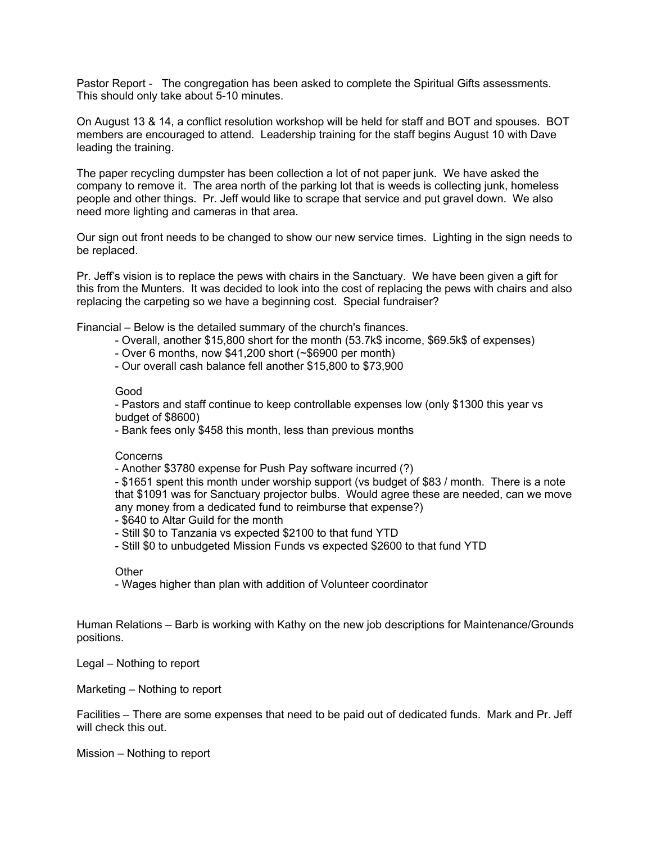Pastor Report - The congregation has been asked to complete the Spiritual Gifts assessments. This should only take about 5-10 minutes.

On August 13 & 14, a conflict resolution workshop will be held for staff and BOT and spouses. BOT members are encouraged to attend. Leadership training for the staff begins August 10 with Dave leading the training.

The paper recycling dumpster has been collection a lot of not paper junk. We have asked the company to remove it. The area north of the parking lot that is weeds is collecting junk, homeless people and other things. Pr. Jeff would like to scrape that service and put gravel down. We also need more lighting and cameras in that area.

Our sign out front needs to be changed to show our new service times. Lighting in the sign needs to be replaced.

Pr. Jeff's vision is to replace the pews with chairs in the Sanctuary. We have been given a gift for this from the Munters. It was decided to look into the cost of replacing the pews with chairs and also replacing the carpeting so we have a beginning cost. Special fundraiser?

Financial – Below is the detailed summary of the church's finances.

- Overall, another \$15,800 short for the month (53.7k\$ income, \$69.5k\$ of expenses)
- Over 6 months, now \$41,200 short (~\$6900 per month)
- Our overall cash balance fell another \$15,800 to \$73,900

## Good

- Pastors and staff continue to keep controllable expenses low (only \$1300 this year vs budget of \$8600)

- Bank fees only \$458 this month, less than previous months

## Concerns

- Another \$3780 expense for Push Pay software incurred (?)

- \$1651 spent this month under worship support (vs budget of \$83 / month. There is a note that \$1091 was for Sanctuary projector bulbs. Would agree these are needed, can we move any money from a dedicated fund to reimburse that expense?)

- \$640 to Altar Guild for the month
- Still \$0 to Tanzania vs expected \$2100 to that fund YTD
- Still \$0 to unbudgeted Mission Funds vs expected \$2600 to that fund YTD

## **Other**

- Wages higher than plan with addition of Volunteer coordinator

Human Relations – Barb is working with Kathy on the new job descriptions for Maintenance/Grounds positions.

Legal – Nothing to report

Marketing – Nothing to report

Facilities – There are some expenses that need to be paid out of dedicated funds. Mark and Pr. Jeff will check this out.

Mission – Nothing to report